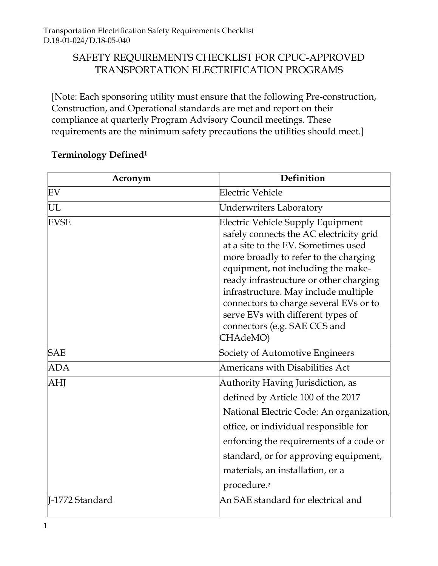## SAFETY REQUIREMENTS CHECKLIST FOR CPUC-APPROVED TRANSPORTATION ELECTRIFICATION PROGRAMS

[Note: Each sponsoring utility must ensure that the following Pre-construction, Construction, and Operational standards are met and report on their compliance at quarterly Program Advisory Council meetings. These requirements are the minimum safety precautions the utilities should meet.]

| Acronym         | Definition                                                                                                                                                                                                                                                                                                                                                                                                             |
|-----------------|------------------------------------------------------------------------------------------------------------------------------------------------------------------------------------------------------------------------------------------------------------------------------------------------------------------------------------------------------------------------------------------------------------------------|
| EV              | Electric Vehicle                                                                                                                                                                                                                                                                                                                                                                                                       |
| UL              | <b>Underwriters Laboratory</b>                                                                                                                                                                                                                                                                                                                                                                                         |
| <b>EVSE</b>     | <b>Electric Vehicle Supply Equipment</b><br>safely connects the AC electricity grid<br>at a site to the EV. Sometimes used<br>more broadly to refer to the charging<br>equipment, not including the make-<br>ready infrastructure or other charging<br>infrastructure. May include multiple<br>connectors to charge several EVs or to<br>serve EVs with different types of<br>connectors (e.g. SAE CCS and<br>CHAdeMO) |
| <b>SAE</b>      | Society of Automotive Engineers                                                                                                                                                                                                                                                                                                                                                                                        |
| <b>ADA</b>      | Americans with Disabilities Act                                                                                                                                                                                                                                                                                                                                                                                        |
| AHJ             | Authority Having Jurisdiction, as<br>defined by Article 100 of the 2017<br>National Electric Code: An organization,<br>office, or individual responsible for<br>enforcing the requirements of a code or<br>standard, or for approving equipment,<br>materials, an installation, or a<br>procedure. <sup>2</sup>                                                                                                        |
| I-1772 Standard | An SAE standard for electrical and                                                                                                                                                                                                                                                                                                                                                                                     |

## **Terminology Defined<sup>1</sup>**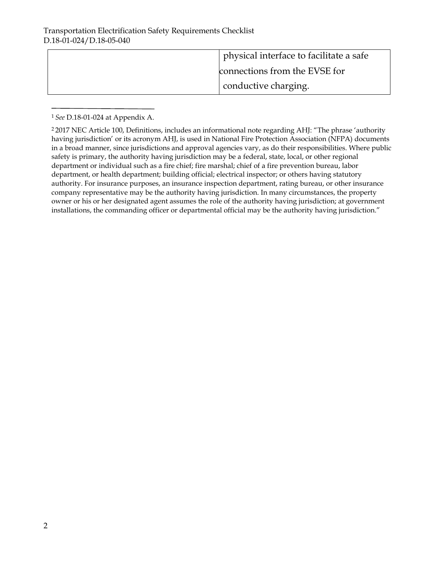| physical interface to facilitate a safe |
|-----------------------------------------|
| connections from the EVSE for           |
| conductive charging.                    |

<sup>1</sup>*See* D.18-01-024 at Appendix A.

<sup>2</sup>2017 NEC Article 100, Definitions, includes an informational note regarding AHJ: "The phrase 'authority having jurisdiction' or its acronym AHJ, is used in National Fire Protection Association (NFPA) documents in a broad manner, since jurisdictions and approval agencies vary, as do their responsibilities. Where public safety is primary, the authority having jurisdiction may be a federal, state, local, or other regional department or individual such as a fire chief; fire marshal; chief of a fire prevention bureau, labor department, or health department; building official; electrical inspector; or others having statutory authority. For insurance purposes, an insurance inspection department, rating bureau, or other insurance company representative may be the authority having jurisdiction. In many circumstances, the property owner or his or her designated agent assumes the role of the authority having jurisdiction; at government installations, the commanding officer or departmental official may be the authority having jurisdiction."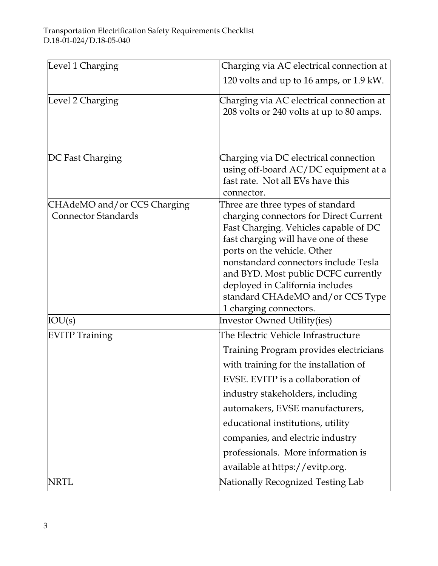| Level 1 Charging                                          | Charging via AC electrical connection at                                                                                                                                                                                                                                                                                                                                             |
|-----------------------------------------------------------|--------------------------------------------------------------------------------------------------------------------------------------------------------------------------------------------------------------------------------------------------------------------------------------------------------------------------------------------------------------------------------------|
|                                                           | 120 volts and up to 16 amps, or 1.9 kW.                                                                                                                                                                                                                                                                                                                                              |
| Level 2 Charging                                          | Charging via AC electrical connection at<br>208 volts or 240 volts at up to 80 amps.                                                                                                                                                                                                                                                                                                 |
| DC Fast Charging                                          | Charging via DC electrical connection<br>using off-board AC/DC equipment at a<br>fast rate. Not all EVs have this<br>connector.                                                                                                                                                                                                                                                      |
| CHAdeMO and/or CCS Charging<br><b>Connector Standards</b> | Three are three types of standard<br>charging connectors for Direct Current<br>Fast Charging. Vehicles capable of DC<br>fast charging will have one of these<br>ports on the vehicle. Other<br>nonstandard connectors include Tesla<br>and BYD. Most public DCFC currently<br>deployed in California includes<br>standard CHAdeMO and/or CCS Type<br>1 charging connectors.          |
| IOU(s)                                                    | <b>Investor Owned Utility(ies)</b>                                                                                                                                                                                                                                                                                                                                                   |
| <b>EVITP Training</b>                                     | The Electric Vehicle Infrastructure<br>Training Program provides electricians<br>with training for the installation of<br>EVSE. EVITP is a collaboration of<br>industry stakeholders, including<br>automakers, EVSE manufacturers,<br>educational institutions, utility<br>companies, and electric industry<br>professionals. More information is<br>available at https://evitp.org. |
| NRTL                                                      | Nationally Recognized Testing Lab                                                                                                                                                                                                                                                                                                                                                    |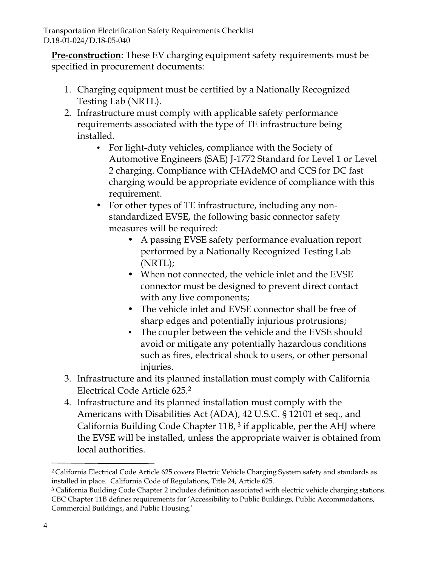Transportation Electrification Safety Requirements Checklist D.18-01-024/D.18-05-040

**Pre-construction**: These EV charging equipment safety requirements must be specified in procurement documents:

- 1. Charging equipment must be certified by a Nationally Recognized Testing Lab (NRTL).
- 2. Infrastructure must comply with applicable safety performance requirements associated with the type of TE infrastructure being installed.
	- For light-duty vehicles, compliance with the Society of Automotive Engineers (SAE) J-1772 Standard for Level 1 or Level 2 charging. Compliance with CHAdeMO and CCS for DC fast charging would be appropriate evidence of compliance with this requirement.
	- For other types of TE infrastructure, including any nonstandardized EVSE, the following basic connector safety measures will be required:
		- A passing EVSE safety performance evaluation report performed by a Nationally Recognized Testing Lab (NRTL);
		- When not connected, the vehicle inlet and the EVSE connector must be designed to prevent direct contact with any live components;
		- The vehicle inlet and EVSE connector shall be free of sharp edges and potentially injurious protrusions;
		- The coupler between the vehicle and the EVSE should avoid or mitigate any potentially hazardous conditions such as fires, electrical shock to users, or other personal injuries.
- 3. Infrastructure and its planned installation must comply with California Electrical Code Article 625.<sup>2</sup>
- 4. Infrastructure and its planned installation must comply with the Americans with Disabilities Act (ADA), 42 U.S.C. § 12101 et seq., and California Building Code Chapter  $11B$ ,  $3$  if applicable, per the AHJ where the EVSE will be installed, unless the appropriate waiver is obtained from local authorities.

<sup>2</sup>California Electrical Code Article 625 covers Electric Vehicle Charging System safety and standards as installed in place. California Code of Regulations, Title 24, Article 625.

<sup>3</sup> California Building Code Chapter 2 includes definition associated with electric vehicle charging stations. CBC Chapter 11B defines requirements for 'Accessibility to Public Buildings, Public Accommodations, Commercial Buildings, and Public Housing.'